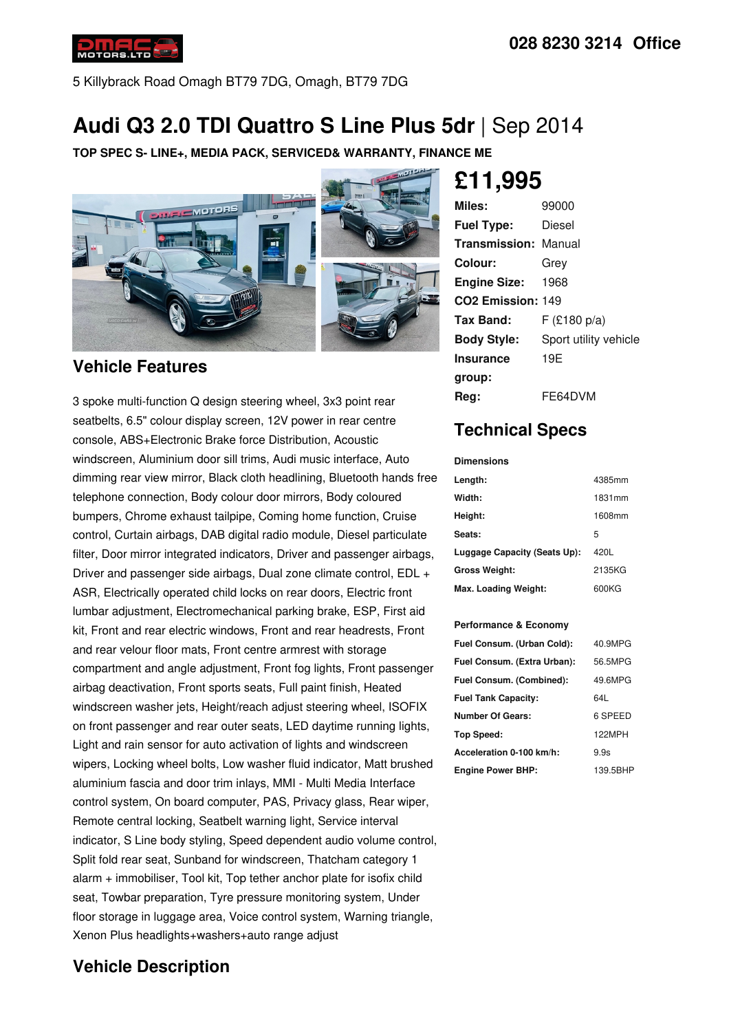

5 Killybrack Road Omagh BT79 7DG, Omagh, BT79 7DG

# **Audi Q3 2.0 TDI Quattro S Line Plus 5dr** |Sep 2014

**TOP SPEC S- LINE+, MEDIA PACK, SERVICED& WARRANTY, FINANCE ME**



## **Vehicle Features**

3 spoke multi-function Q design steering wheel, 3x3 point rear seatbelts, 6.5" colour display screen, 12V power in rear centre console, ABS+Electronic Brake force Distribution, Acoustic windscreen, Aluminium door sill trims, Audi music interface, Auto dimming rear view mirror, Black cloth headlining, Bluetooth hands free telephone connection, Body colour door mirrors, Body coloured bumpers, Chrome exhaust tailpipe, Coming home function, Cruise control, Curtain airbags, DAB digital radio module, Diesel particulate filter, Door mirror integrated indicators, Driver and passenger airbags, Driver and passenger side airbags, Dual zone climate control, EDL + ASR, Electrically operated child locks on rear doors, Electric front lumbar adjustment, Electromechanical parking brake, ESP, First aid kit, Front and rear electric windows, Front and rear headrests, Front and rear velour floor mats, Front centre armrest with storage compartment and angle adjustment, Front fog lights, Front passenger airbag deactivation, Front sports seats, Full paint finish, Heated windscreen washer jets, Height/reach adjust steering wheel, ISOFIX on front passenger and rear outer seats, LED daytime running lights, Light and rain sensor for auto activation of lights and windscreen wipers, Locking wheel bolts, Low washer fluid indicator, Matt brushed aluminium fascia and door trim inlays, MMI - Multi Media Interface control system, On board computer, PAS, Privacy glass, Rear wiper, Remote central locking, Seatbelt warning light, Service interval indicator, S Line body styling, Speed dependent audio volume control, Split fold rear seat, Sunband for windscreen, Thatcham category 1 alarm + immobiliser, Tool kit, Top tether anchor plate for isofix child seat, Towbar preparation, Tyre pressure monitoring system, Under floor storage in luggage area, Voice control system, Warning triangle, Xenon Plus headlights+washers+auto range adjust

# **Vehicle Description**

**£11,995**

| Miles:                        | 99000                 |
|-------------------------------|-----------------------|
| <b>Fuel Type:</b>             | Diesel                |
| <b>Transmission: Manual</b>   |                       |
| Colour:                       | Grey                  |
| Engine Size: 1968             |                       |
| CO <sub>2</sub> Emission: 149 |                       |
| Tax Band:                     | F (£180 p/a)          |
| <b>Body Style:</b>            | Sport utility vehicle |
| <b>Insurance</b>              | 19E                   |
| group:                        |                       |
| Reg:                          | FE64DVM               |

## **Technical Specs**

**Dimensions**

| Length:                      | 4385mm |
|------------------------------|--------|
| Width:                       | 1831mm |
| Height:                      | 1608mm |
| Seats:                       | 5      |
| Luggage Capacity (Seats Up): | 420L   |
| <b>Gross Weight:</b>         | 2135KG |
| Max. Loading Weight:         | 600KG  |

#### **Performance & Economy**

| Fuel Consum. (Urban Cold):  | 40.9MPG  |
|-----------------------------|----------|
| Fuel Consum. (Extra Urban): | 56.5MPG  |
| Fuel Consum. (Combined):    | 49.6MPG  |
| <b>Fuel Tank Capacity:</b>  | 64L      |
| <b>Number Of Gears:</b>     | 6 SPEED  |
| Top Speed:                  | 122MPH   |
| Acceleration 0-100 km/h:    | 9.9s     |
| <b>Engine Power BHP:</b>    | 139.5BHP |